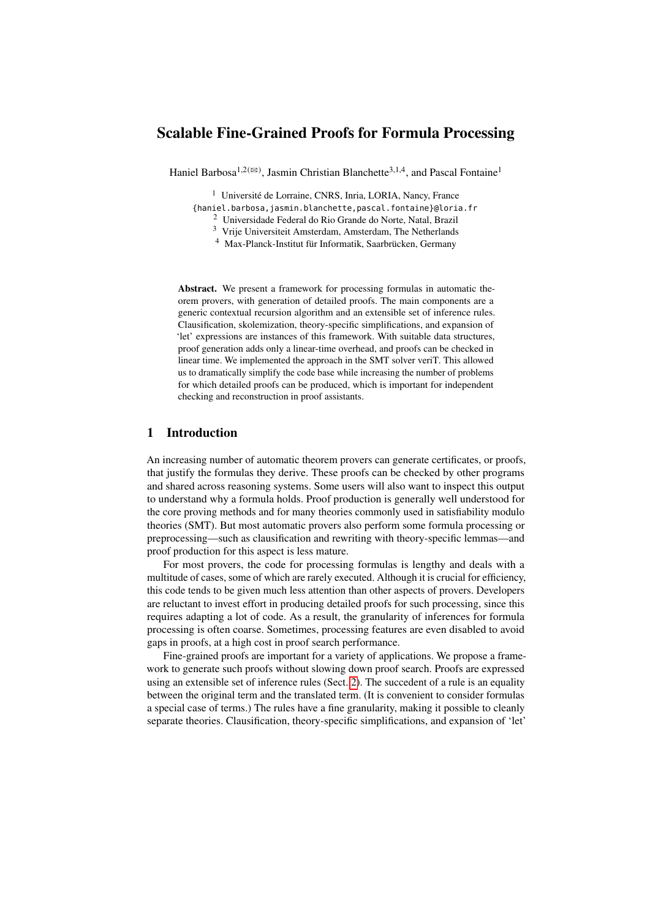# Scalable Fine-Grained Proofs for Formula Processing

Haniel Barbosa<sup>1,2( $\boxtimes$ )</sup>, Jasmin Christian Blanchette<sup>3,1,4</sup>, and Pascal Fontaine<sup>1</sup>

<sup>1</sup> Université de Lorraine, CNRS, Inria, LORIA, Nancy, France

- {haniel.barbosa,jasmin.blanchette,pascal.fontaine}@loria.fr
	- <sup>2</sup> Universidade Federal do Rio Grande do Norte, Natal, Brazil
	- <sup>3</sup> Vrije Universiteit Amsterdam, Amsterdam, The Netherlands
	- <sup>4</sup> Max-Planck-Institut für Informatik, Saarbrücken, Germany

Abstract. We present a framework for processing formulas in automatic theorem provers, with generation of detailed proofs. The main components are a generic contextual recursion algorithm and an extensible set of inference rules. Clausification, skolemization, theory-specific simplifications, and expansion of 'let' expressions are instances of this framework. With suitable data structures, proof generation adds only a linear-time overhead, and proofs can be checked in linear time. We implemented the approach in the SMT solver veriT. This allowed us to dramatically simplify the code base while increasing the number of problems for which detailed proofs can be produced, which is important for independent checking and reconstruction in proof assistants.

# 1 Introduction

An increasing number of automatic theorem provers can generate certificates, or proofs, that justify the formulas they derive. These proofs can be checked by other programs and shared across reasoning systems. Some users will also want to inspect this output to understand why a formula holds. Proof production is generally well understood for the core proving methods and for many theories commonly used in satisfiability modulo theories (SMT). But most automatic provers also perform some formula processing or preprocessing—such as clausification and rewriting with theory-specific lemmas—and proof production for this aspect is less mature.

For most provers, the code for processing formulas is lengthy and deals with a multitude of cases, some of which are rarely executed. Although it is crucial for efficiency, this code tends to be given much less attention than other aspects of provers. Developers are reluctant to invest effort in producing detailed proofs for such processing, since this requires adapting a lot of code. As a result, the granularity of inferences for formula processing is often coarse. Sometimes, processing features are even disabled to avoid gaps in proofs, at a high cost in proof search performance.

Fine-grained proofs are important for a variety of applications. We propose a framework to generate such proofs without slowing down proof search. Proofs are expressed using an extensible set of inference rules (Sect. [2\)](#page-2-0). The succedent of a rule is an equality between the original term and the translated term. (It is convenient to consider formulas a special case of terms.) The rules have a fine granularity, making it possible to cleanly separate theories. Clausification, theory-specific simplifications, and expansion of 'let'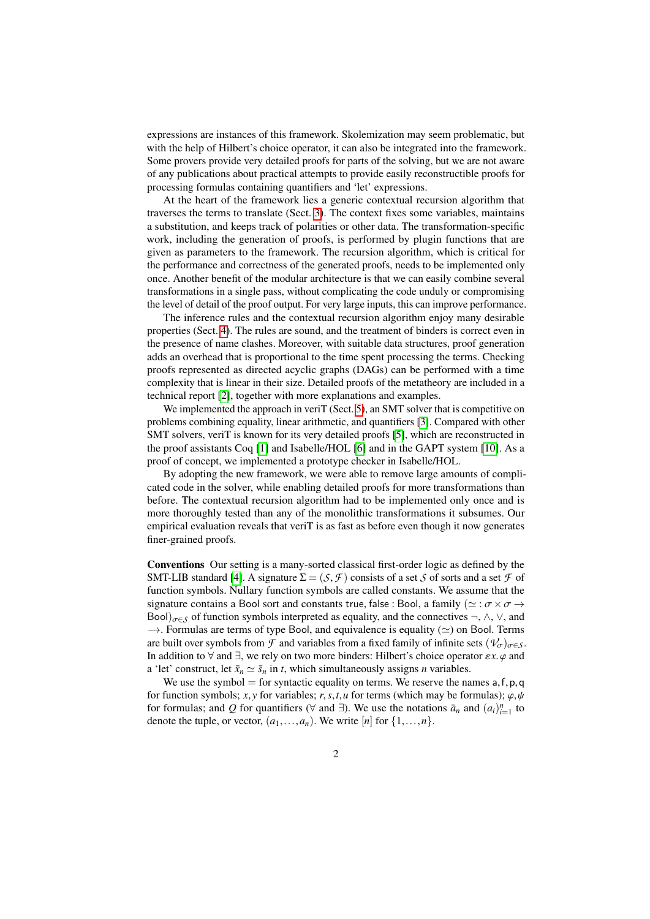expressions are instances of this framework. Skolemization may seem problematic, but with the help of Hilbert's choice operator, it can also be integrated into the framework. Some provers provide very detailed proofs for parts of the solving, but we are not aware of any publications about practical attempts to provide easily reconstructible proofs for processing formulas containing quantifiers and 'let' expressions.

At the heart of the framework lies a generic contextual recursion algorithm that traverses the terms to translate (Sect. [3\)](#page-3-0). The context fixes some variables, maintains a substitution, and keeps track of polarities or other data. The transformation-specific work, including the generation of proofs, is performed by plugin functions that are given as parameters to the framework. The recursion algorithm, which is critical for the performance and correctness of the generated proofs, needs to be implemented only once. Another benefit of the modular architecture is that we can easily combine several transformations in a single pass, without complicating the code unduly or compromising the level of detail of the proof output. For very large inputs, this can improve performance.

The inference rules and the contextual recursion algorithm enjoy many desirable properties (Sect. [4\)](#page-7-0). The rules are sound, and the treatment of binders is correct even in the presence of name clashes. Moreover, with suitable data structures, proof generation adds an overhead that is proportional to the time spent processing the terms. Checking proofs represented as directed acyclic graphs (DAGs) can be performed with a time complexity that is linear in their size. Detailed proofs of the metatheory are included in a technical report [\[2\]](#page-11-0), together with more explanations and examples.

We implemented the approach in veriT (Sect. [5\)](#page-7-1), an SMT solver that is competitive on problems combining equality, linear arithmetic, and quantifiers [\[3\]](#page-11-1). Compared with other SMT solvers, veriT is known for its very detailed proofs [\[5\]](#page-11-2), which are reconstructed in the proof assistants Coq [\[1\]](#page-11-3) and Isabelle/HOL [\[6\]](#page-11-4) and in the GAPT system [\[10\]](#page-11-5). As a proof of concept, we implemented a prototype checker in Isabelle/HOL.

By adopting the new framework, we were able to remove large amounts of complicated code in the solver, while enabling detailed proofs for more transformations than before. The contextual recursion algorithm had to be implemented only once and is more thoroughly tested than any of the monolithic transformations it subsumes. Our empirical evaluation reveals that veriT is as fast as before even though it now generates finer-grained proofs.

Conventions Our setting is a many-sorted classical first-order logic as defined by the SMT-LIB standard [\[4\]](#page-11-6). A signature  $\Sigma = (S, \mathcal{F})$  consists of a set *S* of sorts and a set *F* of function symbols. Nullary function symbols are called constants. We assume that the signature contains a Bool sort and constants true, false : Bool, a family ( $\simeq$  :  $\sigma \times \sigma \rightarrow$ Bool)<sub> $\sigma \in S$ </sub> of function symbols interpreted as equality, and the connectives  $\neg$ ,  $\wedge$ ,  $\vee$ , and  $\rightarrow$ . Formulas are terms of type Bool, and equivalence is equality ( $\simeq$ ) on Bool. Terms are built over symbols from *F* and variables from a fixed family of infinite sets  $(\mathcal{V}_{\sigma})_{\sigma \in S}$ . In addition to  $\forall$  and  $\exists$ , we rely on two more binders: Hilbert's choice operator  $\epsilon x$ .  $\varphi$  and a 'let' construct, let  $\bar{x}_n \simeq \bar{s}_n$  in *t*, which simultaneously assigns *n* variables.

We use the symbol = for syntactic equality on terms. We reserve the names  $a, f, p, q$ for function symbols; *x*, *y* for variables; *r*, *s*, *t*, *u* for terms (which may be formulas);  $\varphi$ ,  $\psi$ for formulas; and *Q* for quantifiers ( $\forall$  and  $\exists$ ). We use the notations  $\bar{a}_n$  and  $(a_i)_{i=1}^n$  to denote the tuple, or vector,  $(a_1, \ldots, a_n)$ . We write  $[n]$  for  $\{1, \ldots, n\}$ .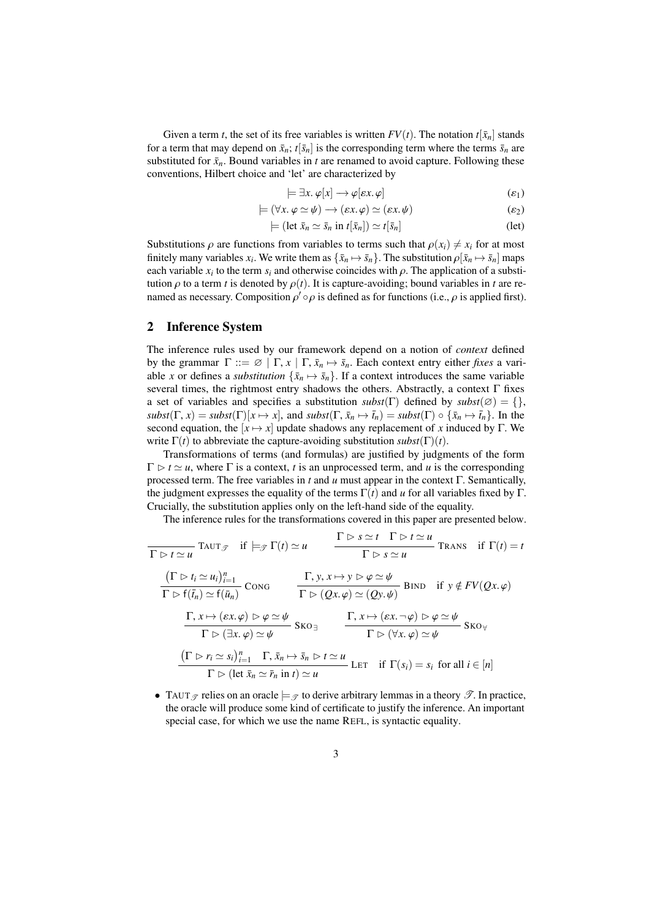Given a term *t*, the set of its free variables is written  $FV(t)$ . The notation  $t[\bar{x}_n]$  stands for a term that may depend on  $\bar{x}_n$ ;  $t[\bar{s}_n]$  is the corresponding term where the terms  $\bar{s}_n$  are substituted for  $\bar{x}_n$ . Bound variables in *t* are renamed to avoid capture. Following these conventions, Hilbert choice and 'let' are characterized by

<span id="page-2-2"></span><span id="page-2-1"></span>
$$
\models \exists x. \varphi[x] \rightarrow \varphi[\varepsilon x. \varphi]
$$
\n
$$
\qquad (e_1)
$$

$$
\models (\forall x. \varphi \simeq \psi) \rightarrow (\varepsilon x. \varphi) \simeq (\varepsilon x. \psi) \tag{2}
$$

$$
\models (\text{let } \bar{x}_n \simeq \bar{s}_n \text{ in } t[\bar{x}_n]) \simeq t[\bar{s}_n]
$$
\n(let)

Substitutions  $\rho$  are functions from variables to terms such that  $\rho(x_i) \neq x_i$  for at most finitely many variables  $x_i$ . We write them as  $\{\bar{x}_n \mapsto \bar{s}_n\}$ . The substitution  $\rho[\bar{x}_n \mapsto \bar{s}_n]$  maps each variable *x*: to the term *s*: and otherwise coincides with  $\alpha$ . The annication of a substitution each variable  $x_i$  to the term  $s_i$  and otherwise coincides with  $\rho$ . The application of a substitution  $\rho$  to a term *t* is denoted by  $\rho(t)$ . It is canture-avoiding: bound variables in *t* are retution  $\rho$  to a term *t* is denoted by  $\rho(t)$ . It is capture-avoiding; bound variables in *t* are renamed as necessary. Composition  $\rho' \circ \rho$  is defined as for functions (i.e.,  $\rho$  is applied first).

### <span id="page-2-0"></span>2 Inference System

The inference rules used by our framework depend on a notion of *context* defined by the grammar  $\Gamma ::= \emptyset | \Gamma, x | \Gamma, \overline{x}_n \mapsto \overline{s}_n$ . Each context entry either *fixes* a variable *x* or defines a *substitution*  $\{\bar{x}_n \mapsto \bar{s}_n\}$ . If a context introduces the same variable several times, the rightmost entry shadows the others. Abstractly, a context  $\Gamma$  fixes a set of variables and specifies a substitution  $\textit{subst}(\Gamma)$  defined by  $\textit{subst}(\emptyset) = \{\},\$  $subst(\Gamma, x) = subst(\Gamma)[x \mapsto x]$ , and  $subst(\Gamma, \bar{x}_n \mapsto \bar{t}_n) = subst(\Gamma) \circ {\bar{x}_n \mapsto \bar{t}_n}$ . In the second equation, the  $[x \mapsto x]$  update shadows any replacement of x induced by  $\Gamma$ . We write  $\Gamma(t)$  to abbreviate the capture-avoiding substitution *subst*( $\Gamma(t)$ ).

Transformations of terms (and formulas) are justified by judgments of the form  $\Gamma \triangleright t \simeq u$ , where  $\Gamma$  is a context, t is an unprocessed term, and u is the corresponding processed term. The free variables in *t* and *u* must appear in the context Γ. Semantically, the judgment expresses the equality of the terms  $\Gamma(t)$  and *u* for all variables fixed by Γ. Crucially, the substitution applies only on the left-hand side of the equality.

The inference rules for the transformations covered in this paper are presented below.

$$
\frac{\Gamma \rhd s \simeq t \quad \Gamma \rhd t \simeq u}{\Gamma \rhd t \simeq u} \quad \frac{\Gamma \rhd s \simeq t \quad \Gamma \rhd t \simeq u}{\Gamma \rhd s \simeq u} \quad \text{Trans} \quad \text{if } \Gamma(t) = t
$$
\n
$$
\frac{(\Gamma \rhd t_i \simeq u_i)_{i=1}^n}{\Gamma \rhd f(\bar{t}_n) \simeq f(\bar{u}_n)} \quad \text{Cong} \quad \frac{\Gamma, y, x \mapsto y \rhd \varphi \simeq \psi}{\Gamma \rhd (Qx, \varphi) \simeq (Qy, \psi)} \quad \text{BIND} \quad \text{if } y \notin FV(Qx, \varphi)
$$
\n
$$
\frac{\Gamma, x \mapsto (\varepsilon x, \varphi) \rhd \varphi \simeq \psi}{\Gamma \rhd (\exists x, \varphi) \simeq \psi} \quad \text{SKO}_{\exists} \quad \frac{\Gamma, x \mapsto (\varepsilon x, \neg \varphi) \rhd \varphi \simeq \psi}{\Gamma \rhd (\forall x, \varphi) \simeq \psi} \quad \text{SKO}_{\forall}
$$
\n
$$
\frac{(\Gamma \rhd r_i \simeq s_i)_{i=1}^n \quad \Gamma, \bar{x}_n \mapsto \bar{s}_n \rhd t \simeq u}{\Gamma \rhd (\text{let } \bar{x}_n \simeq \bar{r}_n \text{ in } t) \simeq u} \quad \text{LET} \quad \text{if } \Gamma(s_i) = s_i \text{ for all } i \in [n]
$$

• TAUT  $\sigma$  relies on an oracle  $\models \sigma$  to derive arbitrary lemmas in a theory  $\mathscr{T}$ . In practice, the oracle will produce some kind of certificate to justify the inference. An important special case, for which we use the name REFL, is syntactic equality.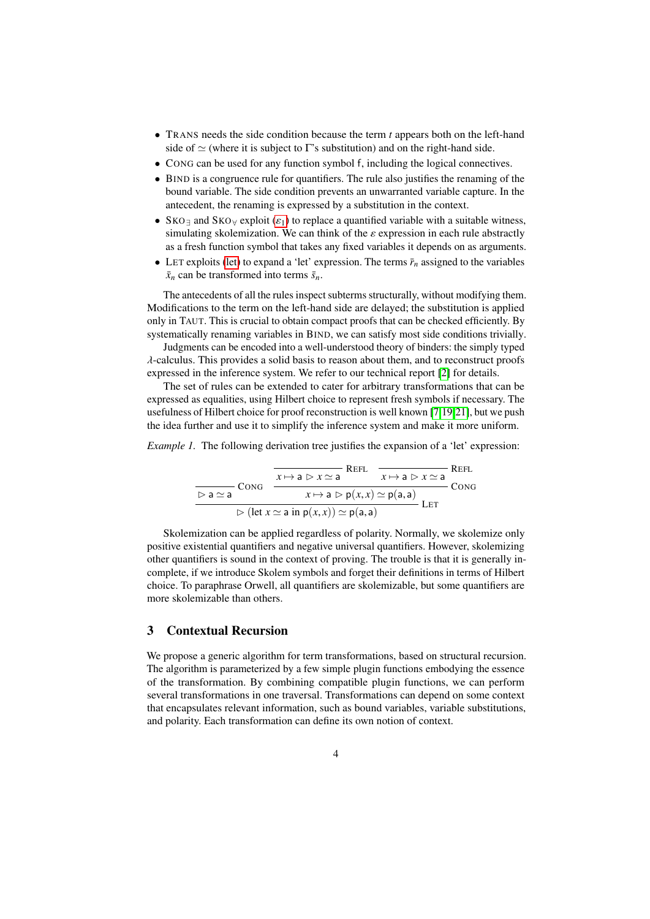- TRANS needs the side condition because the term *t* appears both on the left-hand side of  $\simeq$  (where it is subject to  $\Gamma$ 's substitution) and on the right-hand side.
- CONG can be used for any function symbol f, including the logical connectives.
- BIND is a congruence rule for quantifiers. The rule also justifies the renaming of the bound variable. The side condition prevents an unwarranted variable capture. In the antecedent, the renaming is expressed by a substitution in the context.
- SKO $\exists$  and SKO $\forall$  exploit ( $\varepsilon_1$  $\varepsilon_1$ ) to replace a quantified variable with a suitable witness, simulating skolemization. We can think of the  $\varepsilon$  expression in each rule abstractly as a fresh function symbol that takes any fixed variables it depends on as arguments.
- LET exploits [\(let\)](#page-2-2) to expand a 'let' expression. The terms  $\bar{r}_n$  assigned to the variables  $\bar{x}_n$  can be transformed into terms  $\bar{s}_n$ .

The antecedents of all the rules inspect subterms structurally, without modifying them. Modifications to the term on the left-hand side are delayed; the substitution is applied only in TAUT. This is crucial to obtain compact proofs that can be checked efficiently. By systematically renaming variables in BIND, we can satisfy most side conditions trivially.

Judgments can be encoded into a well-understood theory of binders: the simply typed  $\lambda$ -calculus. This provides a solid basis to reason about them, and to reconstruct proofs expressed in the inference system. We refer to our technical report [\[2\]](#page-11-0) for details.

The set of rules can be extended to cater for arbitrary transformations that can be expressed as equalities, using Hilbert choice to represent fresh symbols if necessary. The usefulness of Hilbert choice for proof reconstruction is well known [\[7,](#page-11-7)[19,](#page-12-0)[21\]](#page-12-1), but we push the idea further and use it to simplify the inference system and make it more uniform.

<span id="page-3-1"></span>*Example 1.* The following derivation tree justifies the expansion of a 'let' expression:

| Case 2                                                                       | CONG          | $x \mapsto a \triangleright x \simeq a$             | REFL          | $x \mapsto a \triangleright x \simeq a$ | REFL |
|------------------------------------------------------------------------------|---------------|-----------------------------------------------------|---------------|-----------------------------------------|------|
| $\triangleright a \simeq a$                                                  | $\text{CONG}$ | $x \mapsto a \triangleright p(x, x) \simeq p(a, a)$ | $\text{CONG}$ |                                         |      |
| $\triangleright (\text{let } x \simeq a \text{ in } p(x, x)) \simeq p(a, a)$ | $\text{LET}$  |                                                     |               |                                         |      |

Skolemization can be applied regardless of polarity. Normally, we skolemize only positive existential quantifiers and negative universal quantifiers. However, skolemizing other quantifiers is sound in the context of proving. The trouble is that it is generally incomplete, if we introduce Skolem symbols and forget their definitions in terms of Hilbert choice. To paraphrase Orwell, all quantifiers are skolemizable, but some quantifiers are more skolemizable than others.

# <span id="page-3-0"></span>3 Contextual Recursion

We propose a generic algorithm for term transformations, based on structural recursion. The algorithm is parameterized by a few simple plugin functions embodying the essence of the transformation. By combining compatible plugin functions, we can perform several transformations in one traversal. Transformations can depend on some context that encapsulates relevant information, such as bound variables, variable substitutions, and polarity. Each transformation can define its own notion of context.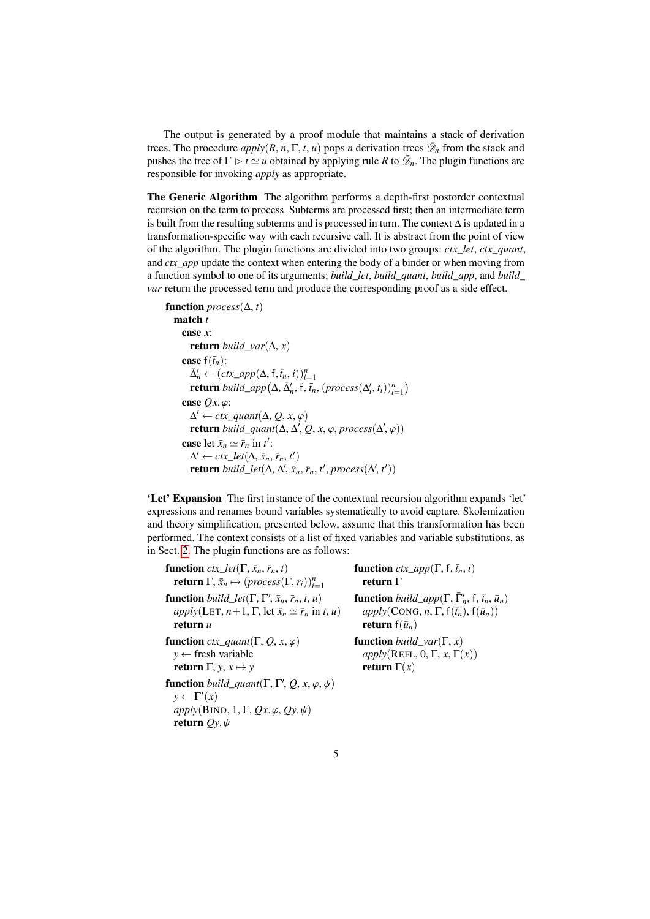The output is generated by a proof module that maintains a stack of derivation trees. The procedure  $apply(R, n, \Gamma, t, u)$  pops *n* derivation trees  $\overline{\mathscr{D}}_n$  from the stack and pushes the tree of  $\Gamma \rhd t \sim u$  obtained by applying rule *R* to  $\overline{\mathscr{D}}$ . The plugin functions are pushes the tree of  $\Gamma \triangleright t \simeq u$  obtained by applying rule *R* to  $\bar{\mathscr{D}}_n$ . The plugin functions are responsible for invoking *apply* as appropriate.

The Generic Algorithm The algorithm performs a depth-first postorder contextual recursion on the term to process. Subterms are processed first; then an intermediate term is built from the resulting subterms and is processed in turn. The context  $\Delta$  is updated in a transformation-specific way with each recursive call. It is abstract from the point of view of the algorithm. The plugin functions are divided into two groups: *ctx\_let*, *ctx\_quant*, and *ctx\_app* update the context when entering the body of a binder or when moving from a function symbol to one of its arguments; *build\_let*, *build\_quant*, *build\_app*, and *build\_ var* return the processed term and produce the corresponding proof as a side effect.

```
function process(\Delta, t)
   match t
      case x:
          return build_var(\Delta, x)
      case f(\bar{t}_n):
          \bar{\Delta}'_n \leftarrow (ctx\_app(\Delta, f, \bar{t}_n, i))_{i=1}^nreturn build_app(\Delta, \bar{\Delta}'_n, f, \bar{t}_n, (process(\Delta'_i, t_i))_{i=1}^n)case Qx. ϕ:
          Δ' ← ctx_quant(Δ, Q, x, φ)<br>
return build quant(Δ Δ'return build_quant(\Delta, \Delta', Q, x, \varphi, process(\Delta', \varphi))
       case let \bar{x}_n \simeq \bar{r}_n in t':
          \Delta' \leftarrow ctx\_let(\Delta, \bar{x}_n, \bar{r}_n, t')<br>
return build let(\Delta, \Delta', \bar{x}return build_let(\Delta, \Delta', \bar{x}_n, \bar{r}_n, t', process(\Delta', t'))
```
'Let' Expansion The first instance of the contextual recursion algorithm expands 'let' expressions and renames bound variables systematically to avoid capture. Skolemization and theory simplification, presented below, assume that this transformation has been performed. The context consists of a list of fixed variables and variable substitutions, as in Sect. [2.](#page-2-0) The plugin functions are as follows:

function  $ctx$ *\_let*( $\Gamma$ ,  $\bar{x}_n$ ,  $\bar{r}_n$ , *t*) **return**  $\Gamma$ ,  $\bar{x}_n \mapsto (process(\Gamma, r_i))_{i=1}^n$ function  $ctx\_app(\Gamma, f, \bar{t}_n, i)$ return Γ **function** *build\_let*( $\Gamma, \Gamma', \bar{x}_n, \bar{r}_n, t, u$ )<br>*apply*( $\Gamma$ ET *n*+1  $\Gamma$  let  $\bar{r} \sim \bar{r}$  in  $apply$ (LET,  $n+1$ ,  $\Gamma$ , let  $\bar{x}_n \simeq \bar{r}_n$  in  $t, u$ ) return *u* **function** *build\_app*( $\Gamma$ ,  $\overline{\Gamma}'_n$ ,  $f$ ,  $\overline{t}_n$ ,  $\overline{u}_n$ )<br>*apply*( $\overline{C}$ ONG,  $n \Gamma$ ,  $f(\overline{t})$ )  $f(\overline{u})$ )  $apply$ (CONG, *n*,  $\Gamma$ ,  $f(\bar{t}_n)$ ,  $f(\bar{u}_n)$ ) return  $f(\bar{u}_n)$ function *ctx\_quant*( $\Gamma$ , *Q*, *x*,  $\varphi$ ) *y* ← fresh variable return Γ, *y*,  $x \mapsto y$ **function** *build\_quant*( $\Gamma$ ,  $\Gamma'$ ,  $Q$ ,  $x$ ,  $\varphi$ ,  $\psi$ )<br> $y \leftarrow \Gamma'(x)$  $y \leftarrow \Gamma'(x)$  $apply(BIND, 1, \Gamma, Qx, \varphi, Qy, \psi)$ return *Qy*. ψ function *build\_var*(Γ, *<sup>x</sup>*) *apply*(REFL, <sup>0</sup>, <sup>Γ</sup>, *<sup>x</sup>*, <sup>Γ</sup>(*x*)) return Γ(*x*)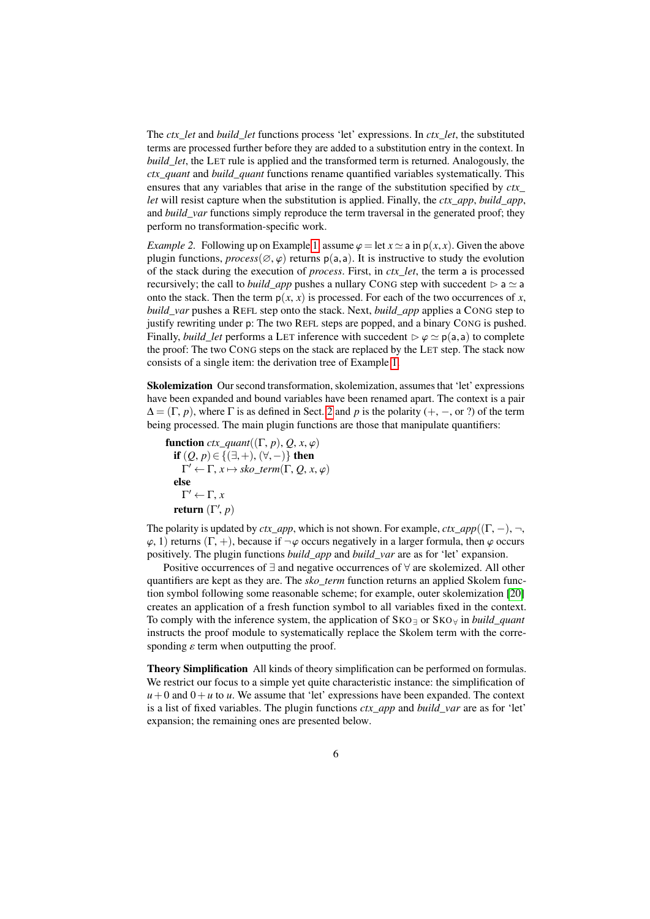The *ctx\_let* and *build\_let* functions process 'let' expressions. In *ctx\_let*, the substituted terms are processed further before they are added to a substitution entry in the context. In *build\_let*, the LET rule is applied and the transformed term is returned. Analogously, the *ctx\_quant* and *build\_quant* functions rename quantified variables systematically. This ensures that any variables that arise in the range of the substitution specified by *ctx\_ let* will resist capture when the substitution is applied. Finally, the *ctx\_app*, *build\_app*, and *build\_var* functions simply reproduce the term traversal in the generated proof; they perform no transformation-specific work.

*Example 2.* Following up on Example [1,](#page-3-1) assume  $\varphi = \text{let } x \simeq a$  in  $p(x, x)$ . Given the above plugin functions,  $\text{process}(\emptyset, \varphi)$  returns  $p(a, a)$ . It is instructive to study the evolution of the stack during the execution of *process*. First, in *ctx\_let*, the term a is processed recursively; the call to *build app* pushes a nullary CONG step with succedent  $\triangleright$  a  $\simeq$  a onto the stack. Then the term  $p(x, x)$  is processed. For each of the two occurrences of *x*, *build\_var* pushes a REFL step onto the stack. Next, *build\_app* applies a CONG step to justify rewriting under p: The two REFL steps are popped, and a binary CONG is pushed. Finally, *build\_let* performs a LET inference with succedent  $\triangleright \varphi \simeq p(a,a)$  to complete the proof: The two CONG steps on the stack are replaced by the LET step. The stack now consists of a single item: the derivation tree of Example [1.](#page-3-1)

Skolemization Our second transformation, skolemization, assumes that 'let' expressions have been expanded and bound variables have been renamed apart. The context is a pair  $\Delta = (\Gamma, p)$ , where  $\Gamma$  is as defined in Sect. [2](#page-2-0) and p is the polarity (+, –, or ?) of the term being processed. The main plugin functions are those that manipulate quantifiers:

function *ctx\_quant*( $(\Gamma, p), Q, x, \varphi$ ) **if**  $(Q, p) \in \{ (\exists, +), (\forall, -) \}$  then  $\Gamma' \leftarrow \Gamma$ ,  $x \mapsto sko\_term(\Gamma, Q, x, \varphi)$ else  $Γ' \leftarrow Γ, x$ <br>strum (Γ' **return**  $(\Gamma', p)$ 

The polarity is updated by *ctx\_app*, which is not shown. For example,  $ctx\_app((\Gamma, -), \neg,$  $\varphi$ , 1) returns  $(\Gamma, +)$ , because if  $\neg \varphi$  occurs negatively in a larger formula, then  $\varphi$  occurs positively. The plugin functions *build\_app* and *build\_var* are as for 'let' expansion.

Positive occurrences of ∃ and negative occurrences of ∀ are skolemized. All other quantifiers are kept as they are. The *sko*\_*term* function returns an applied Skolem function symbol following some reasonable scheme; for example, outer skolemization [\[20\]](#page-12-2) creates an application of a fresh function symbol to all variables fixed in the context. To comply with the inference system, the application of SKO<sup>∃</sup> or SKO<sup>∀</sup> in *build\_quant* instructs the proof module to systematically replace the Skolem term with the corresponding  $\varepsilon$  term when outputting the proof.

Theory Simplification All kinds of theory simplification can be performed on formulas. We restrict our focus to a simple yet quite characteristic instance: the simplification of  $u + 0$  and  $0 + u$  to *u*. We assume that 'let' expressions have been expanded. The context is a list of fixed variables. The plugin functions *ctx\_app* and *build\_var* are as for 'let' expansion; the remaining ones are presented below.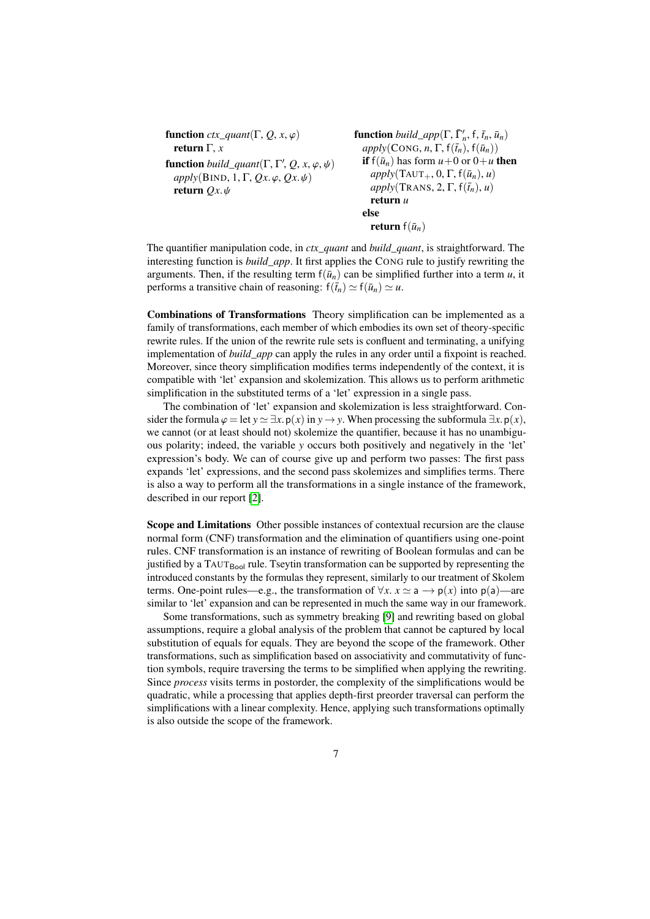```
function ctx_quant(\Gamma, Q, x, \varphi)
   return Γ, x
function build_quant(\Gamma, \Gamma', Q, x, \varphi, \psi)<br>qnnly(BJND 1 \Gamma Qx (\theta, Qx vk)
   apply(BIND, 1, \Gamma, Qx, \varphi, Qx, \psi)return Qx. ψ
                                                                               function build_app(\Gamma, \overline{\Gamma}'_n, f, \overline{t}_n, \overline{u}_n)<br>apply(\overline{C}ONG, n \Gamma f(\overline{t}) f(\overline{u}))
                                                                                  apply(CONG, n, \Gamma, f(\bar{t}_n), f(\bar{u}_n))
                                                                                  if f(\bar{u}_n) has form u+0 or 0+u then
                                                                                      apply(TAUT_+, 0, \Gamma, f(\bar{u}_n), u)apply(TRANS, 2, \Gamma, f(\bar{t}_n), u)
                                                                                      return u
                                                                                  else
```
The quantifier manipulation code, in *ctx\_quant* and *build\_quant*, is straightforward. The interesting function is *build\_app*. It first applies the CONG rule to justify rewriting the arguments. Then, if the resulting term  $f(\bar{u}_n)$  can be simplified further into a term *u*, it performs a transitive chain of reasoning:  $f(\bar{t}_n) \simeq f(\bar{u}_n) \simeq u$ .

return  $f(\bar{u}_n)$ 

Combinations of Transformations Theory simplification can be implemented as a family of transformations, each member of which embodies its own set of theory-specific rewrite rules. If the union of the rewrite rule sets is confluent and terminating, a unifying implementation of *build\_app* can apply the rules in any order until a fixpoint is reached. Moreover, since theory simplification modifies terms independently of the context, it is compatible with 'let' expansion and skolemization. This allows us to perform arithmetic simplification in the substituted terms of a 'let' expression in a single pass.

The combination of 'let' expansion and skolemization is less straightforward. Consider the formula  $\varphi = \text{let } y \simeq \exists x. p(x) \text{ in } y \to y.$  When processing the subformula  $\exists x. p(x)$ , we cannot (or at least should not) skolemize the quantifier, because it has no unambiguous polarity; indeed, the variable *y* occurs both positively and negatively in the 'let' expression's body. We can of course give up and perform two passes: The first pass expands 'let' expressions, and the second pass skolemizes and simplifies terms. There is also a way to perform all the transformations in a single instance of the framework, described in our report [\[2\]](#page-11-0).

Scope and Limitations Other possible instances of contextual recursion are the clause normal form (CNF) transformation and the elimination of quantifiers using one-point rules. CNF transformation is an instance of rewriting of Boolean formulas and can be justified by a TAUT<sub>Bool</sub> rule. Tseytin transformation can be supported by representing the introduced constants by the formulas they represent, similarly to our treatment of Skolem terms. One-point rules—e.g., the transformation of  $\forall x. x \simeq a \rightarrow p(x)$  into p(a)—are similar to 'let' expansion and can be represented in much the same way in our framework.

Some transformations, such as symmetry breaking [\[9\]](#page-11-8) and rewriting based on global assumptions, require a global analysis of the problem that cannot be captured by local substitution of equals for equals. They are beyond the scope of the framework. Other transformations, such as simplification based on associativity and commutativity of function symbols, require traversing the terms to be simplified when applying the rewriting. Since *process* visits terms in postorder, the complexity of the simplifications would be quadratic, while a processing that applies depth-first preorder traversal can perform the simplifications with a linear complexity. Hence, applying such transformations optimally is also outside the scope of the framework.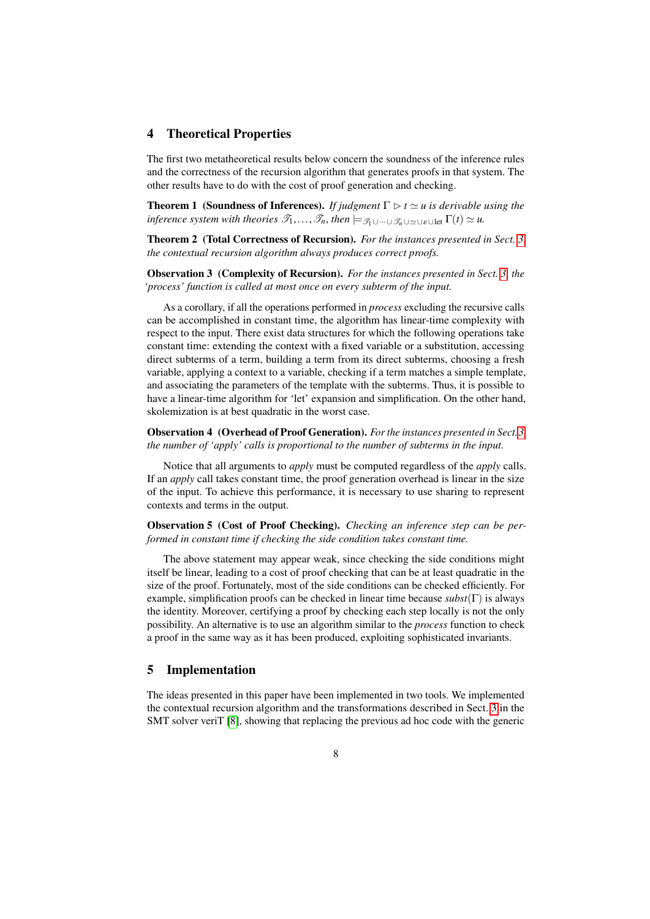#### <span id="page-7-0"></span>4 Theoretical Properties

The first two metatheoretical results below concern the soundness of the inference rules and the correctness of the recursion algorithm that generates proofs in that system. The other results have to do with the cost of proof generation and checking.

**Theorem 1** (Soundness of Inferences). *If judgment*  $\Gamma \triangleright t \simeq u$  *is derivable using the inference system with theories*  $\mathscr{T}_1,\ldots,\mathscr{T}_n$ , *then*  $\models_{\mathscr{T}_1\cup\cdots\cup\mathscr{T}_n\cup\simeq\cup\epsilon\cup\mathrm{let}}\Gamma(t)\simeq u$ .

Theorem 2 (Total Correctness of Recursion). *For the instances presented in Sect. [3,](#page-3-0) the contextual recursion algorithm always produces correct proofs.*

Observation 3 (Complexity of Recursion). *For the instances presented in Sect. [3,](#page-3-0) the 'process' function is called at most once on every subterm of the input.*

As a corollary, if all the operations performed in *process* excluding the recursive calls can be accomplished in constant time, the algorithm has linear-time complexity with respect to the input. There exist data structures for which the following operations take constant time: extending the context with a fixed variable or a substitution, accessing direct subterms of a term, building a term from its direct subterms, choosing a fresh variable, applying a context to a variable, checking if a term matches a simple template, and associating the parameters of the template with the subterms. Thus, it is possible to have a linear-time algorithm for 'let' expansion and simplification. On the other hand, skolemization is at best quadratic in the worst case.

Observation 4 (Overhead of Proof Generation). *For the instances presented in Sect[.3,](#page-3-0) the number of 'apply' calls is proportional to the number of subterms in the input.*

Notice that all arguments to *apply* must be computed regardless of the *apply* calls. If an *apply* call takes constant time, the proof generation overhead is linear in the size of the input. To achieve this performance, it is necessary to use sharing to represent contexts and terms in the output.

Observation 5 (Cost of Proof Checking). *Checking an inference step can be performed in constant time if checking the side condition takes constant time.*

The above statement may appear weak, since checking the side conditions might itself be linear, leading to a cost of proof checking that can be at least quadratic in the size of the proof. Fortunately, most of the side conditions can be checked efficiently. For example, simplification proofs can be checked in linear time because *subst*(Γ) is always the identity. Moreover, certifying a proof by checking each step locally is not the only possibility. An alternative is to use an algorithm similar to the *process* function to check a proof in the same way as it has been produced, exploiting sophisticated invariants.

# <span id="page-7-1"></span>5 Implementation

The ideas presented in this paper have been implemented in two tools. We implemented the contextual recursion algorithm and the transformations described in Sect. [3](#page-3-0) in the SMT solver veriT [\[8\]](#page-11-9), showing that replacing the previous ad hoc code with the generic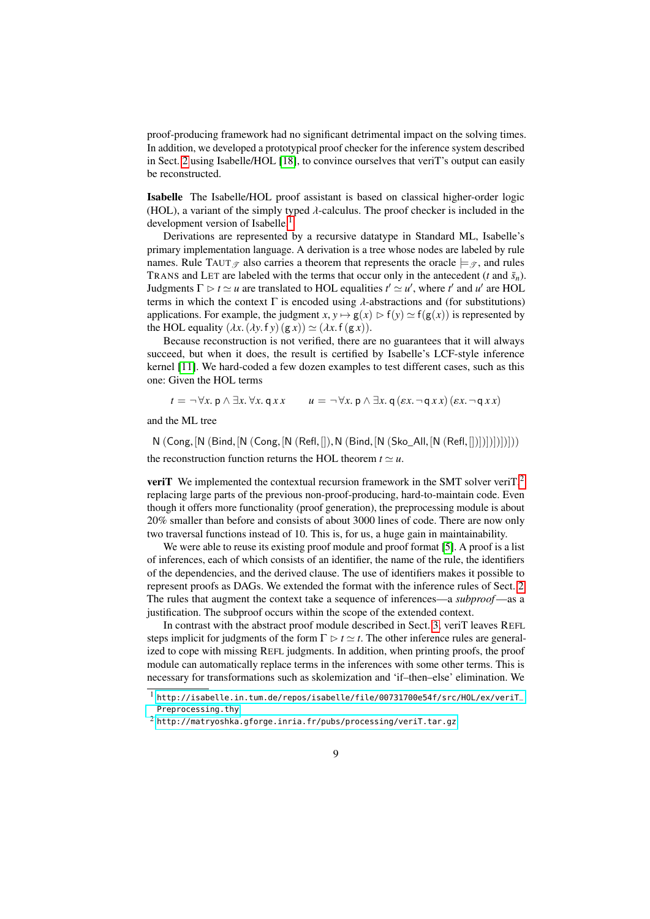proof-producing framework had no significant detrimental impact on the solving times. In addition, we developed a prototypical proof checker for the inference system described in Sect. [2](#page-2-0) using Isabelle/HOL [\[18\]](#page-12-3), to convince ourselves that veriT's output can easily be reconstructed.

Isabelle The Isabelle/HOL proof assistant is based on classical higher-order logic (HOL), a variant of the simply typed  $\lambda$ -calculus. The proof checker is included in the development version of Isabelle.<sup>[1](#page-8-0)</sup>

Derivations are represented by a recursive datatype in Standard ML, Isabelle's primary implementation language. A derivation is a tree whose nodes are labeled by rule names. Rule TAUT  $\gamma$  also carries a theorem that represents the oracle  $\models \gamma$ , and rules TRANS and LET are labeled with the terms that occur only in the antecedent (*t* and  $\bar{s}_n$ ). Judgments  $\Gamma \triangleright t \simeq u$  are translated to HOL equalities  $t' \simeq u'$ , where  $t'$  and  $u'$  are HOL terms in which the context  $\Gamma$  is encoded using  $\lambda$ -abstractions and (for substitutions) applications. For example, the judgment  $x, y \mapsto g(x) \triangleright f(y) \simeq f(g(x))$  is represented by the HOL equality  $(\lambda x.(\lambda y.f y)(gx)) \simeq (\lambda x. f(g x)).$ 

Because reconstruction is not verified, there are no guarantees that it will always succeed, but when it does, the result is certified by Isabelle's LCF-style inference kernel [\[11\]](#page-11-10). We hard-coded a few dozen examples to test different cases, such as this one: Given the HOL terms

 $t = \neg \forall x. \mathsf{p} \wedge \exists x. \forall x. \mathsf{q} x x \qquad u = \neg \forall x. \mathsf{p} \wedge \exists x. \mathsf{q} (\varepsilon x. \neg \mathsf{q} x x) (\varepsilon x. \neg \mathsf{q} x x)$ 

and the ML tree

<sup>N</sup> (Cong,[<sup>N</sup> (Bind,[<sup>N</sup> (Cong,[<sup>N</sup> (Refl,[]),<sup>N</sup> (Bind,[<sup>N</sup> (Sko\_All,[<sup>N</sup> (Refl,[])])])])])])) the reconstruction function returns the HOL theorem  $t \simeq u$ .

**veriT** We implemented the contextual recursion framework in the SMT solver veriT,<sup>[2](#page-8-1)</sup> replacing large parts of the previous non-proof-producing, hard-to-maintain code. Even though it offers more functionality (proof generation), the preprocessing module is about 20% smaller than before and consists of about 3000 lines of code. There are now only two traversal functions instead of 10. This is, for us, a huge gain in maintainability.

We were able to reuse its existing proof module and proof format [\[5\]](#page-11-2). A proof is a list of inferences, each of which consists of an identifier, the name of the rule, the identifiers of the dependencies, and the derived clause. The use of identifiers makes it possible to represent proofs as DAGs. We extended the format with the inference rules of Sect. [2.](#page-2-0) The rules that augment the context take a sequence of inferences—a *subproof*—as a justification. The subproof occurs within the scope of the extended context.

In contrast with the abstract proof module described in Sect. [3,](#page-3-0) veriT leaves REFL steps implicit for judgments of the form  $\Gamma \triangleright t \simeq t$ . The other inference rules are generalized to cope with missing REFL judgments. In addition, when printing proofs, the proof module can automatically replace terms in the inferences with some other terms. This is necessary for transformations such as skolemization and 'if–then–else' elimination. We

<span id="page-8-0"></span><sup>1</sup> [http://isabelle.in.tum.de/repos/isabelle/file/00731700e54f/src/HOL/ex/veriT\\_](http://isabelle.in.tum.de/repos/isabelle/file/00731700e54f/src/HOL/ex/veriT_Preprocessing.thy) [Preprocessing.thy](http://isabelle.in.tum.de/repos/isabelle/file/00731700e54f/src/HOL/ex/veriT_Preprocessing.thy)

<span id="page-8-1"></span> $^2$  <http://matryoshka.gforge.inria.fr/pubs/processing/veriT.tar.gz>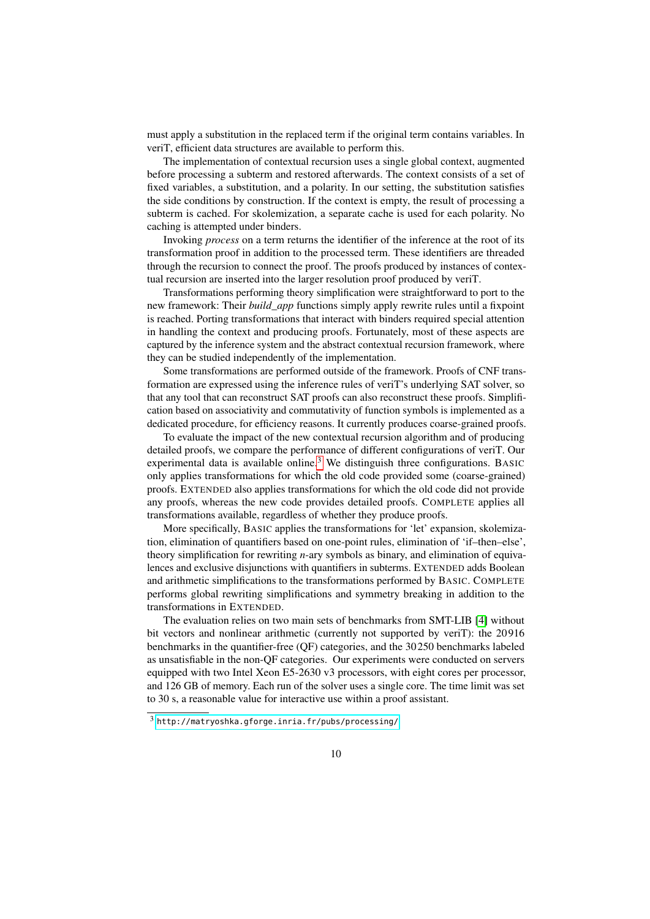must apply a substitution in the replaced term if the original term contains variables. In veriT, efficient data structures are available to perform this.

The implementation of contextual recursion uses a single global context, augmented before processing a subterm and restored afterwards. The context consists of a set of fixed variables, a substitution, and a polarity. In our setting, the substitution satisfies the side conditions by construction. If the context is empty, the result of processing a subterm is cached. For skolemization, a separate cache is used for each polarity. No caching is attempted under binders.

Invoking *process* on a term returns the identifier of the inference at the root of its transformation proof in addition to the processed term. These identifiers are threaded through the recursion to connect the proof. The proofs produced by instances of contextual recursion are inserted into the larger resolution proof produced by veriT.

Transformations performing theory simplification were straightforward to port to the new framework: Their *build\_app* functions simply apply rewrite rules until a fixpoint is reached. Porting transformations that interact with binders required special attention in handling the context and producing proofs. Fortunately, most of these aspects are captured by the inference system and the abstract contextual recursion framework, where they can be studied independently of the implementation.

Some transformations are performed outside of the framework. Proofs of CNF transformation are expressed using the inference rules of veriT's underlying SAT solver, so that any tool that can reconstruct SAT proofs can also reconstruct these proofs. Simplification based on associativity and commutativity of function symbols is implemented as a dedicated procedure, for efficiency reasons. It currently produces coarse-grained proofs.

To evaluate the impact of the new contextual recursion algorithm and of producing detailed proofs, we compare the performance of different configurations of veriT. Our experimental data is available online.<sup>[3](#page-9-0)</sup> We distinguish three configurations. BASIC only applies transformations for which the old code provided some (coarse-grained) proofs. EXTENDED also applies transformations for which the old code did not provide any proofs, whereas the new code provides detailed proofs. COMPLETE applies all transformations available, regardless of whether they produce proofs.

More specifically, BASIC applies the transformations for 'let' expansion, skolemization, elimination of quantifiers based on one-point rules, elimination of 'if–then–else', theory simplification for rewriting *n*-ary symbols as binary, and elimination of equivalences and exclusive disjunctions with quantifiers in subterms. EXTENDED adds Boolean and arithmetic simplifications to the transformations performed by BASIC. COMPLETE performs global rewriting simplifications and symmetry breaking in addition to the transformations in EXTENDED.

The evaluation relies on two main sets of benchmarks from SMT-LIB [\[4\]](#page-11-6) without bit vectors and nonlinear arithmetic (currently not supported by veriT): the 20 916 benchmarks in the quantifier-free (QF) categories, and the 30 250 benchmarks labeled as unsatisfiable in the non-QF categories. Our experiments were conducted on servers equipped with two Intel Xeon E5-2630 v3 processors, with eight cores per processor, and 126 GB of memory. Each run of the solver uses a single core. The time limit was set to 30 s, a reasonable value for interactive use within a proof assistant.

<span id="page-9-0"></span><sup>3</sup> <http://matryoshka.gforge.inria.fr/pubs/processing/>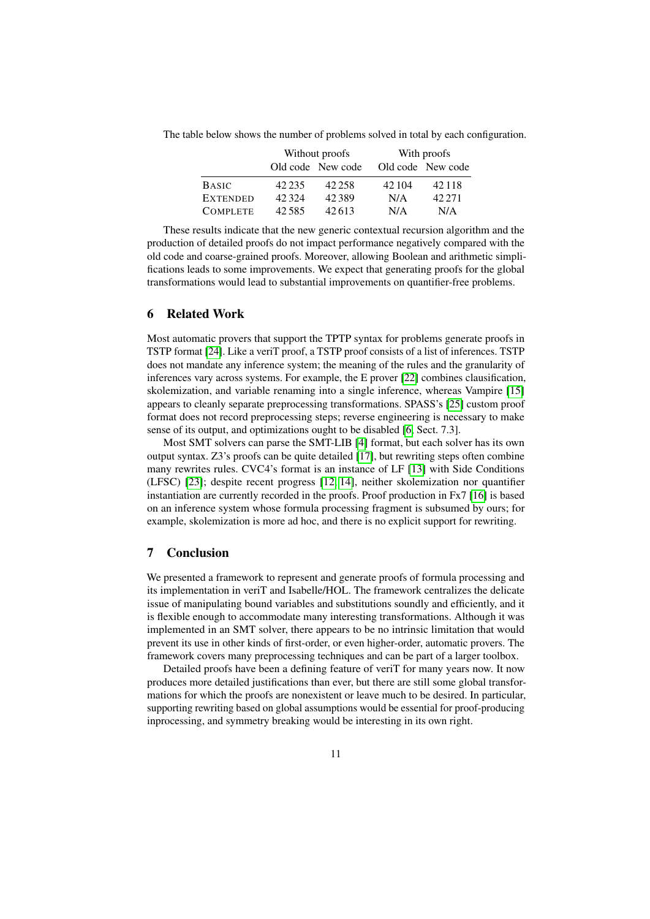|                 | Without proofs |                   | With proofs |                   |
|-----------------|----------------|-------------------|-------------|-------------------|
|                 |                | Old code New code |             | Old code New code |
| <b>BASIC</b>    | 42 2 35        | 42 2 5 8          | 42 104      | 42118             |
| <b>EXTENDED</b> | 42.324         | 42389             | N/A         | 42.271            |
| <b>COMPLETE</b> | 42.585         | 42.613            | N/A         | N/A               |

The table below shows the number of problems solved in total by each configuration.

These results indicate that the new generic contextual recursion algorithm and the production of detailed proofs do not impact performance negatively compared with the old code and coarse-grained proofs. Moreover, allowing Boolean and arithmetic simplifications leads to some improvements. We expect that generating proofs for the global transformations would lead to substantial improvements on quantifier-free problems.

## 6 Related Work

Most automatic provers that support the TPTP syntax for problems generate proofs in TSTP format [\[24\]](#page-12-4). Like a veriT proof, a TSTP proof consists of a list of inferences. TSTP does not mandate any inference system; the meaning of the rules and the granularity of inferences vary across systems. For example, the E prover [\[22\]](#page-12-5) combines clausification, skolemization, and variable renaming into a single inference, whereas Vampire [\[15\]](#page-12-6) appears to cleanly separate preprocessing transformations. SPASS's [\[25\]](#page-12-7) custom proof format does not record preprocessing steps; reverse engineering is necessary to make sense of its output, and optimizations ought to be disabled [\[6,](#page-11-4) Sect. 7.3].

Most SMT solvers can parse the SMT-LIB [\[4\]](#page-11-6) format, but each solver has its own output syntax. Z3's proofs can be quite detailed [\[17\]](#page-12-8), but rewriting steps often combine many rewrites rules. CVC4's format is an instance of LF [\[13\]](#page-11-11) with Side Conditions (LFSC) [\[23\]](#page-12-9); despite recent progress [\[12,](#page-11-12) [14\]](#page-12-10), neither skolemization nor quantifier instantiation are currently recorded in the proofs. Proof production in Fx7 [\[16\]](#page-12-11) is based on an inference system whose formula processing fragment is subsumed by ours; for example, skolemization is more ad hoc, and there is no explicit support for rewriting.

### 7 Conclusion

We presented a framework to represent and generate proofs of formula processing and its implementation in veriT and Isabelle/HOL. The framework centralizes the delicate issue of manipulating bound variables and substitutions soundly and efficiently, and it is flexible enough to accommodate many interesting transformations. Although it was implemented in an SMT solver, there appears to be no intrinsic limitation that would prevent its use in other kinds of first-order, or even higher-order, automatic provers. The framework covers many preprocessing techniques and can be part of a larger toolbox.

Detailed proofs have been a defining feature of veriT for many years now. It now produces more detailed justifications than ever, but there are still some global transformations for which the proofs are nonexistent or leave much to be desired. In particular, supporting rewriting based on global assumptions would be essential for proof-producing inprocessing, and symmetry breaking would be interesting in its own right.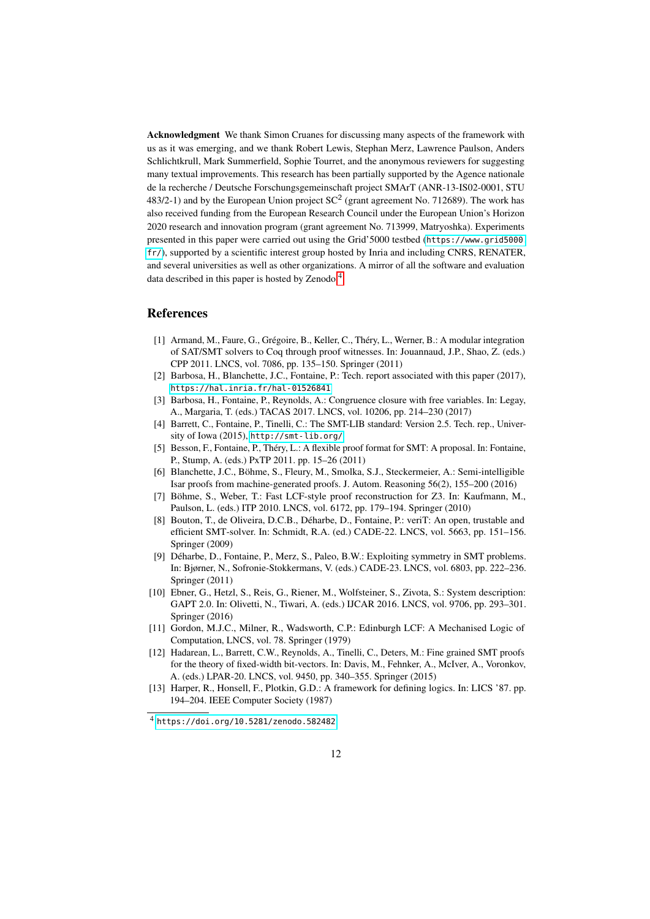Acknowledgment We thank Simon Cruanes for discussing many aspects of the framework with us as it was emerging, and we thank Robert Lewis, Stephan Merz, Lawrence Paulson, Anders Schlichtkrull, Mark Summerfield, Sophie Tourret, and the anonymous reviewers for suggesting many textual improvements. This research has been partially supported by the Agence nationale de la recherche / Deutsche Forschungsgemeinschaft project SMArT (ANR-13-IS02-0001, STU 483/2-1) and by the European Union project  $SC^2$  (grant agreement No. 712689). The work has also received funding from the European Research Council under the European Union's Horizon 2020 research and innovation program (grant agreement No. 713999, Matryoshka). Experiments presented in this paper were carried out using the Grid'5000 testbed ([https://www.grid5000.](https://www.grid5000.fr/) [fr/](https://www.grid5000.fr/)), supported by a scientific interest group hosted by Inria and including CNRS, RENATER, and several universities as well as other organizations. A mirror of all the software and evaluation data described in this paper is hosted by Zenodo.<sup>[4](#page-11-13)</sup>

## References

- <span id="page-11-3"></span>[1] Armand, M., Faure, G., Grégoire, B., Keller, C., Théry, L., Werner, B.: A modular integration of SAT/SMT solvers to Coq through proof witnesses. In: Jouannaud, J.P., Shao, Z. (eds.) CPP 2011. LNCS, vol. 7086, pp. 135–150. Springer (2011)
- <span id="page-11-0"></span>[2] Barbosa, H., Blanchette, J.C., Fontaine, P.: Tech. report associated with this paper (2017), <https://hal.inria.fr/hal-01526841>
- <span id="page-11-1"></span>[3] Barbosa, H., Fontaine, P., Reynolds, A.: Congruence closure with free variables. In: Legay, A., Margaria, T. (eds.) TACAS 2017. LNCS, vol. 10206, pp. 214–230 (2017)
- <span id="page-11-6"></span>[4] Barrett, C., Fontaine, P., Tinelli, C.: The SMT-LIB standard: Version 2.5. Tech. rep., University of Iowa (2015), <http://smt-lib.org/>
- <span id="page-11-2"></span>[5] Besson, F., Fontaine, P., Théry, L.: A flexible proof format for SMT: A proposal. In: Fontaine, P., Stump, A. (eds.) PxTP 2011. pp. 15–26 (2011)
- <span id="page-11-4"></span>[6] Blanchette, J.C., Böhme, S., Fleury, M., Smolka, S.J., Steckermeier, A.: Semi-intelligible Isar proofs from machine-generated proofs. J. Autom. Reasoning 56(2), 155–200 (2016)
- <span id="page-11-7"></span>[7] Böhme, S., Weber, T.: Fast LCF-style proof reconstruction for Z3. In: Kaufmann, M., Paulson, L. (eds.) ITP 2010. LNCS, vol. 6172, pp. 179–194. Springer (2010)
- <span id="page-11-9"></span>[8] Bouton, T., de Oliveira, D.C.B., Déharbe, D., Fontaine, P.: veriT: An open, trustable and efficient SMT-solver. In: Schmidt, R.A. (ed.) CADE-22. LNCS, vol. 5663, pp. 151–156. Springer (2009)
- <span id="page-11-8"></span>[9] Déharbe, D., Fontaine, P., Merz, S., Paleo, B.W.: Exploiting symmetry in SMT problems. In: Bjørner, N., Sofronie-Stokkermans, V. (eds.) CADE-23. LNCS, vol. 6803, pp. 222–236. Springer (2011)
- <span id="page-11-5"></span>[10] Ebner, G., Hetzl, S., Reis, G., Riener, M., Wolfsteiner, S., Zivota, S.: System description: GAPT 2.0. In: Olivetti, N., Tiwari, A. (eds.) IJCAR 2016. LNCS, vol. 9706, pp. 293–301. Springer (2016)
- <span id="page-11-10"></span>[11] Gordon, M.J.C., Milner, R., Wadsworth, C.P.: Edinburgh LCF: A Mechanised Logic of Computation, LNCS, vol. 78. Springer (1979)
- <span id="page-11-12"></span>[12] Hadarean, L., Barrett, C.W., Reynolds, A., Tinelli, C., Deters, M.: Fine grained SMT proofs for the theory of fixed-width bit-vectors. In: Davis, M., Fehnker, A., McIver, A., Voronkov, A. (eds.) LPAR-20. LNCS, vol. 9450, pp. 340–355. Springer (2015)
- <span id="page-11-11"></span>[13] Harper, R., Honsell, F., Plotkin, G.D.: A framework for defining logics. In: LICS '87. pp. 194–204. IEEE Computer Society (1987)

<span id="page-11-13"></span><sup>4</sup> <https://doi.org/10.5281/zenodo.582482>